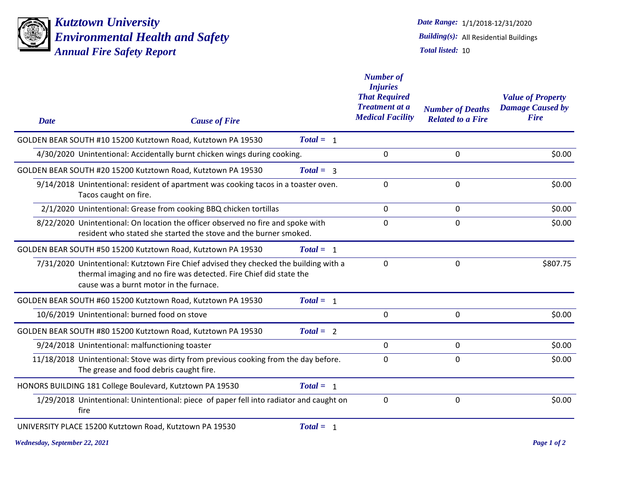

*Alarms and/or Fires Report Environmental Health and Safety Kutztown University Annual Fire Safety Report*

1/1/2018-12/31/2020 *Date Range: Total listed:* 10 *Building(s):* All Residential Buildings

| <b>Date</b><br><b>Cause of Fire</b>                                                                                                                                                                    |             | <b>Number of</b><br><b>Injuries</b><br><b>That Required</b><br><b>Treatment at a</b><br><b>Medical Facility</b> | <b>Number of Deaths</b><br><b>Related to a Fire</b> | <b>Value of Property</b><br><b>Damage Caused by</b><br><b>Fire</b> |
|--------------------------------------------------------------------------------------------------------------------------------------------------------------------------------------------------------|-------------|-----------------------------------------------------------------------------------------------------------------|-----------------------------------------------------|--------------------------------------------------------------------|
| GOLDEN BEAR SOUTH #10 15200 Kutztown Road, Kutztown PA 19530                                                                                                                                           | $Total = 1$ |                                                                                                                 |                                                     |                                                                    |
| 4/30/2020 Unintentional: Accidentally burnt chicken wings during cooking.                                                                                                                              |             | 0                                                                                                               | 0                                                   | \$0.00                                                             |
| GOLDEN BEAR SOUTH #20 15200 Kutztown Road, Kutztown PA 19530                                                                                                                                           | $Total = 3$ |                                                                                                                 |                                                     |                                                                    |
| 9/14/2018 Unintentional: resident of apartment was cooking tacos in a toaster oven.<br>Tacos caught on fire.                                                                                           |             | 0                                                                                                               | 0                                                   | \$0.00                                                             |
| 2/1/2020 Unintentional: Grease from cooking BBQ chicken tortillas                                                                                                                                      |             | $\Omega$                                                                                                        | 0                                                   | \$0.00                                                             |
| 8/22/2020 Unintentional: On location the officer observed no fire and spoke with<br>resident who stated she started the stove and the burner smoked.                                                   |             | 0                                                                                                               | 0                                                   | \$0.00                                                             |
| GOLDEN BEAR SOUTH #50 15200 Kutztown Road, Kutztown PA 19530                                                                                                                                           | $Total = 1$ |                                                                                                                 |                                                     |                                                                    |
| 7/31/2020 Unintentional: Kutztown Fire Chief advised they checked the building with a<br>thermal imaging and no fire was detected. Fire Chief did state the<br>cause was a burnt motor in the furnace. |             | 0                                                                                                               | 0                                                   | \$807.75                                                           |
| GOLDEN BEAR SOUTH #60 15200 Kutztown Road, Kutztown PA 19530                                                                                                                                           | $Total = 1$ |                                                                                                                 |                                                     |                                                                    |
| 10/6/2019 Unintentional: burned food on stove                                                                                                                                                          |             | 0                                                                                                               | 0                                                   | \$0.00                                                             |
| GOLDEN BEAR SOUTH #80 15200 Kutztown Road, Kutztown PA 19530                                                                                                                                           | $Total = 2$ |                                                                                                                 |                                                     |                                                                    |
| 9/24/2018 Unintentional: malfunctioning toaster                                                                                                                                                        |             | 0                                                                                                               | 0                                                   | \$0.00                                                             |
| 11/18/2018 Unintentional: Stove was dirty from previous cooking from the day before.<br>The grease and food debris caught fire.                                                                        |             | 0                                                                                                               | 0                                                   | \$0.00                                                             |
| HONORS BUILDING 181 College Boulevard, Kutztown PA 19530                                                                                                                                               | $Total = 1$ |                                                                                                                 |                                                     |                                                                    |
| 1/29/2018 Unintentional: Unintentional: piece of paper fell into radiator and caught on<br>fire                                                                                                        |             | 0                                                                                                               | 0                                                   | \$0.00                                                             |
| UNIVERSITY PLACE 15200 Kutztown Road, Kutztown PA 19530                                                                                                                                                | $Total = 1$ |                                                                                                                 |                                                     |                                                                    |